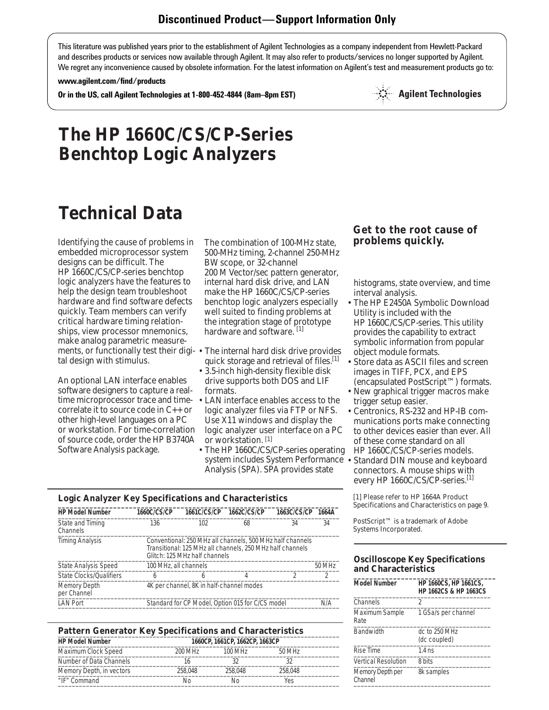This literature was published years prior to the establishment of Agilent Technologies as a company independent from Hewlett-Packard and describes products or services now available through Agilent. It may also refer to products/services no longer supported by Agilent. We regret any inconvenience caused by obsolete information. For the latest information on Agilent's test and measurement products go to:

#### **www.agilent.com/find/products**

**Or in the US, call Agilent Technologies at 1-800-452-4844 (8am–8pm EST)**



# **Technical Data**

Identifying the cause of problems in embedded microprocessor system designs can be difficult. The HP 1660C/CS/CP-series benchtop logic analyzers have the features to help the design team troubleshoot hardware and find software defects quickly. Team members can verify critical hardware timing relationships, view processor mnemonics, make analog parametric measuretal design with stimulus.

An optional LAN interface enables software designers to capture a realtime microprocessor trace and timecorrelate it to source code in C++ or other high-level languages on a PC or workstation. For time-correlation of source code, order the HP B3740A Software Analysis package.

The combination of 100-MHz state, 500-MHz timing, 2-channel 250-MHz BW scope, or 32-channel 200 M Vector/sec pattern generator, internal hard disk drive, and LAN make the HP 1660C/CS/CP-series benchtop logic analyzers especially well suited to finding problems at the integration stage of prototype hardware and software.<sup>[1]</sup>

- ments, or functionally test their digi-• The internal hard disk drive provides quick storage and retrieval of files. $[1]$ 
	- 3.5-inch high-density flexible disk drive supports both DOS and LIF formats.
	- LAN interface enables access to the logic analyzer files via FTP or NFS. Use X11 windows and display the logic analyzer user interface on a PC or workstation. [1]
	- The HP 1660C/CS/CP-series operating system includes System Performance • Standard DIN mouse and keyboard Analysis (SPA). SPA provides state

# **Logic Analyzer Key Specifications and Characteristics \_\_\_\_\_\_\_\_\_\_\_\_\_\_\_\_\_\_\_\_\_\_\_\_\_\_\_\_\_\_\_\_\_\_\_\_\_\_\_\_\_\_\_\_\_\_\_\_\_\_\_\_\_\_\_\_\_\_\_\_\_\_\_\_\_\_\_\_\_\_\_**

| <b>HP Model Number</b>             | 1660C/CS/CP           | <b>1661C/CS/CP</b>                                                                                                                                      | 1662C/CS/CP | 1663C/CS/CP | 1664A  |
|------------------------------------|-----------------------|---------------------------------------------------------------------------------------------------------------------------------------------------------|-------------|-------------|--------|
| State and Timing<br>Channels       | 136                   | 102                                                                                                                                                     | 68          | 34          | 34     |
| <b>Timing Analysis</b>             |                       | Conventional: 250 MHz all channels, 500 MHz half channels<br>Transitional: 125 MHz all channels, 250 MHz half channels<br>Glitch: 125 MHz half channels |             |             |        |
| <b>State Analysis Speed</b>        | 100 MHz, all channels |                                                                                                                                                         |             |             | 50 MHz |
| State Clocks/Qualifiers            | 6                     | h                                                                                                                                                       | 4           |             | 2      |
| <b>Memory Depth</b><br>per Channel |                       | 4K per channel, 8K in half-channel modes                                                                                                                |             |             |        |
| <b>LAN Port</b>                    |                       | Standard for CP Model, Option 015 for C/CS model                                                                                                        |             |             | N/A    |
|                                    |                       |                                                                                                                                                         |             |             |        |

| <b>Pattern Generator Key Specifications and Characteristics</b> |         |         |         |  |
|-----------------------------------------------------------------|---------|---------|---------|--|
| <b>HP Model Number</b><br>1660CP, 1661CP, 1662CP, 1663CP        |         |         |         |  |
| Maximum Clock Speed                                             | 200 MHz | 100 MHz | 50 MHz  |  |
| Number of Data Channels                                         | 16      | 32      | 32      |  |
| Memory Depth, in vectors                                        | 258,048 | 258,048 | 258,048 |  |
| "IF" Command                                                    | Nο      | N٥      | Yes     |  |

# **Get to the root cause of**

histograms, state overview, and time interval analysis.

- The HP E2450A Symbolic Download Utility is included with the HP 1660C/CS/CP-series. This utility provides the capability to extract symbolic information from popular object module formats.
- Store data as ASCII files and screen images in TIFF, PCX, and EPS (encapsulated PostScript™) formats.
- New graphical trigger macros make trigger setup easier.
- Centronics, RS-232 and HP-IB communications ports make connecting to other devices easier than ever. All of these come standard on all HP 1660C/CS/CP-series models.
- connectors. A mouse ships with every HP 1660C/CS/CP-series.<sup>[1]</sup>

[1] Please refer to HP 1664A Product Specifications and Characteristics on page 9.

PostScript™ is a trademark of Adobe Systems Incorporated.

## **Oscilloscope Key Specifications and Characteristics**

| <b>Model Number</b>         | <b>HP 1660CS, HP 1661CS,</b><br><b>HP 1662CS &amp; HP 1663CS</b> |
|-----------------------------|------------------------------------------------------------------|
| Channels                    | 2                                                                |
| Maximum Sample<br>Rate      | 1 GSa/s per channel                                              |
| <b>Bandwidth</b>            | dc to 250 MHz<br>(dc coupled)                                    |
| Rise Time                   | $1.4$ ns                                                         |
| <b>Vertical Resolution</b>  | 8 hits                                                           |
| Memory Depth per<br>Channel | 8k samples                                                       |
|                             |                                                                  |

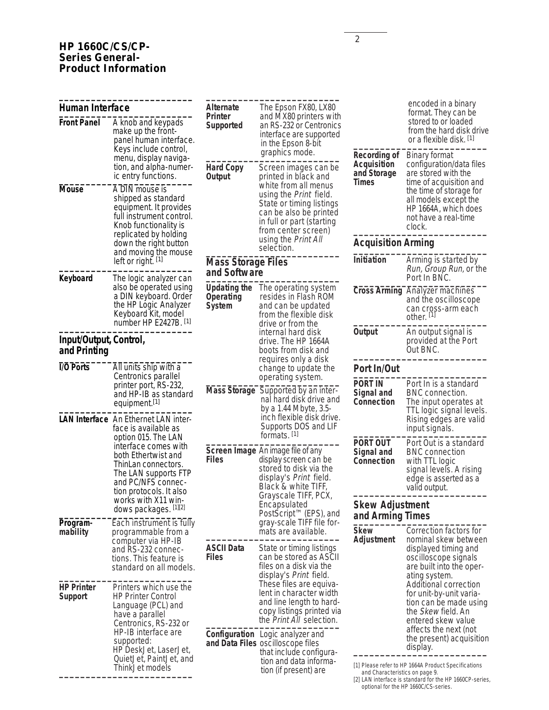## **HP 1660C/CS/CP-Series General-Product Information**

| Human Interface<br><b>Front Panel</b>                                                                                                | A knob and keypads<br>make up the front-<br>panel human interface.                                                                                                                         | <b>Alternate</b><br>Printer<br>Supported          | The Epson FX80, LX80<br>and MX80 printers with<br>an RS-232 or Centronics<br>interface are supported<br>in the Epson 8-bit                               |                                                                          | encoded in a binary<br>format. They can be<br>stored to or loaded<br>from the hard disk drive<br>or a flexible disk. [1]                               |
|--------------------------------------------------------------------------------------------------------------------------------------|--------------------------------------------------------------------------------------------------------------------------------------------------------------------------------------------|---------------------------------------------------|----------------------------------------------------------------------------------------------------------------------------------------------------------|--------------------------------------------------------------------------|--------------------------------------------------------------------------------------------------------------------------------------------------------|
|                                                                                                                                      | Keys include control,<br>menu, display naviga-<br>tion, and alpha-numer-<br>ic entry functions.                                                                                            | <b>Hard Copy</b><br>Output                        | graphics mode.<br>Screen images can be<br>printed in black and                                                                                           | <b>Recording of</b><br><b>Acquisition</b><br>and Storage<br><b>Times</b> | <b>Binary format</b><br>configuration/data files<br>are stored with the<br>time of acquisition and                                                     |
| <b>Mouse</b><br>A DIN mouse is<br>shipped as standard<br>equipment. It provides<br>full instrument control.<br>Knob functionality is |                                                                                                                                                                                            |                                                   | white from all menus<br>using the Print field.<br>State or timing listings<br>can be also be printed<br>in full or part (starting<br>from center screen) |                                                                          | the time of storage for<br>all models except the<br>HP 1664A, which does<br>not have a real-time<br>clock.                                             |
|                                                                                                                                      | replicated by holding<br>down the right button                                                                                                                                             |                                                   | using the Print All<br>selection.                                                                                                                        | <b>Acquisition Arming</b>                                                |                                                                                                                                                        |
| Keyboard                                                                                                                             | and moving the mouse<br>left or right. [1]<br>The logic analyzer can                                                                                                                       | <b>Mass Storage Files</b><br>and Software         |                                                                                                                                                          | Initiation                                                               | Arming is started by<br>Run, Group Run, or the<br>Port In BNC.                                                                                         |
|                                                                                                                                      | also be operated using<br>a DIN keyboard. Order<br>the HP Logic Analyzer<br>Keyboard Kit, model<br>number HP E2427B. [1]                                                                   | <b>Updating the</b><br>Operating<br><b>System</b> | The operating system<br>resides in Flash ROM<br>and can be updated<br>from the flexible disk<br>drive or from the                                        |                                                                          | <b>Cross Arming Analyzer machines</b><br>and the oscilloscope<br>can cross-arm each<br>other. [1]                                                      |
| Input/Output, Control,<br>and Printing                                                                                               |                                                                                                                                                                                            |                                                   | internal hard disk<br>drive. The HP 1664A<br>boots from disk and                                                                                         | Output                                                                   | An output signal is<br>provided at the Port<br>Out BNC.                                                                                                |
| I/O Ports                                                                                                                            | All units ship with a<br>Centronics parallel                                                                                                                                               |                                                   | requires only a disk<br>change to update the                                                                                                             | Port In/Out                                                              |                                                                                                                                                        |
|                                                                                                                                      | printer port, RS-232,<br>and HP-IB as standard<br>equipment. <sup>[1]</sup><br>LAN Interface An Ethernet LAN inter-                                                                        | <b>Mass Storage</b>                               | operating system.<br>Supported by an inter-<br>nal hard disk drive and<br>by a 1.44 Mbyte, 3.5-<br>inch flexible disk drive.                             | <b>PORT IN</b><br>Signal and<br>Connection                               | Port In is a standard<br>BNC connection.<br>The input operates at<br>TTL logic signal levels.<br>Rising edges are valid                                |
|                                                                                                                                      | face is available as<br>option 015. The LAN<br>interface comes with<br>both Ethertwist and<br>ThinLan connectors.<br>The LAN supports FTP<br>and PC/NFS connec-<br>tion protocols. It also |                                                   | Supports DOS and LIF<br>formats. <sup>[1]</sup>                                                                                                          |                                                                          | input signals.                                                                                                                                         |
|                                                                                                                                      |                                                                                                                                                                                            | <b>Files</b>                                      | Screen Image An image file of any<br>display screen can be<br>stored to disk via the<br>display's Print field.<br>Black & white TIFF,                    | PORT OUT<br>Signal and<br>Connection                                     | Port Out is a standard<br><b>BNC</b> connection<br>with TTL logic<br>signal levels. A rising<br>edge is asserted as a<br>valid output.                 |
| Program-                                                                                                                             | works with X11 win-<br>dows packages. [1][2]<br>Each instrument is fully                                                                                                                   |                                                   | Grayscale TIFF, PCX,<br>Encapsulated<br>PostScript <sup>™</sup> (EPS), and<br>gray-scale TIFF file for-                                                  | <b>Skew Adjustment</b><br>and Arming Times                               |                                                                                                                                                        |
| mability                                                                                                                             | programmable from a<br>computer via HP-IB<br>and RS-232 connec-<br>tions. This feature is<br>standard on all models.                                                                       | <b>ASCII Data</b><br><b>Files</b>                 | mats are available.<br>State or timing listings<br>can be stored as ASCII<br>files on a disk via the<br>display's Print field.                           | <b>Skew</b><br>Adjustment                                                | Correction factors for<br>nominal skew between<br>displayed timing and<br>oscilloscope signals<br>are built into the oper-<br>ating system.            |
| <b>HP Printer</b><br><b>Support</b>                                                                                                  | Printers which use the<br><b>HP Printer Control</b><br>Language (PCL) and<br>have a parallel<br>Centronics, RS-232 or                                                                      |                                                   | These files are equiva-<br>lent in character width<br>and line length to hard-<br>copy listings printed via<br>the <i>Print All</i> selection.           |                                                                          | Additional correction<br>for unit-by-unit varia-<br>tion can be made using<br>the <i>Skew</i> field. An<br>entered skew value<br>affects the next (not |
|                                                                                                                                      | HP-IB interface are<br>supported:<br>HP DeskJet, LaserJet,<br>QuietJet, PaintJet, and<br>ThinkJet models                                                                                   |                                                   | Configuration Logic analyzer and<br>and Data Files oscilloscope files<br>that include configura-<br>tion and data informa-                               |                                                                          | the present) acquisition<br>display.<br>[1] Please refer to HP 1664A Product Specifications                                                            |
|                                                                                                                                      |                                                                                                                                                                                            | tion (if present) are                             | and Characteristics on page 9.                                                                                                                           |                                                                          |                                                                                                                                                        |

<sup>[2]</sup> LAN interface is standard for the HP 1660CP-series, optional for the HP 1660C/CS-series.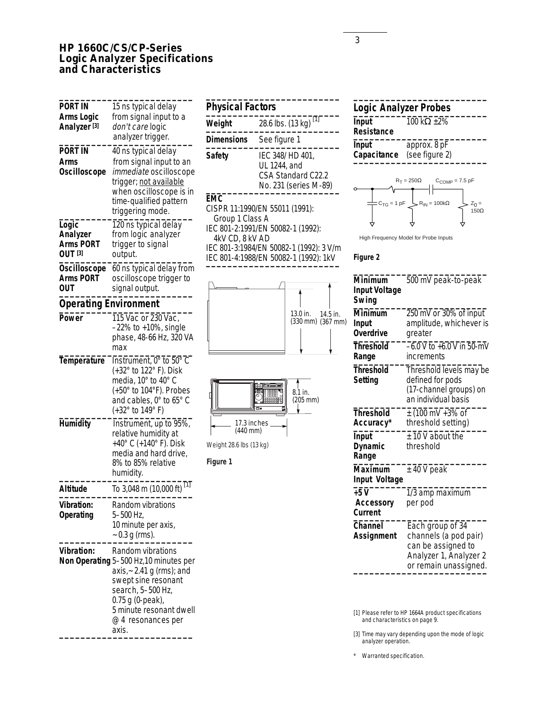## **HP 1660C/CS/CP-Series Logic Analyzer Specifications and Characteristics**

| <b>PORT IN</b><br>Arms Logic<br>Analyzer [3]            | 15 ns typical delay<br>from signal input to a<br>don't care logic<br>analyzer trigger.                                                                                                                                 |
|---------------------------------------------------------|------------------------------------------------------------------------------------------------------------------------------------------------------------------------------------------------------------------------|
| PORT IN<br>Arms<br>Oscilloscope                         | 40 ns typical delay<br>from signal input to an<br>immediate oscilloscope<br>trigger; not available<br>when oscilloscope is in<br>time-qualified pattern<br>triggering mode.                                            |
| Logic<br>Analyzer<br><b>Arms PORT</b><br><b>OUT</b> [3] | 120 ns typical delay<br>from logic analyzer<br>trigger to signal<br>output.                                                                                                                                            |
| Oscilloscope<br>Arms PORT<br>out                        | 60 ns typical delay from<br>oscilloscope trigger to<br>signal output.                                                                                                                                                  |
| <b>Operating Environment</b>                            |                                                                                                                                                                                                                        |
| Power                                                   | 115 Vac or 230 Vac,<br>$-22\%$ to $+10\%$ , single<br>phase, 48-66 Hz, 320 VA<br>max                                                                                                                                   |
| Temperature                                             | Instrument, 0° to 50° C<br>(+32° to 122° F). Disk<br>media, 10° to 40° C<br>(+50° to 104°F). Probes<br>and cables, 0° to 65° C<br>(+32° to 149° F)                                                                     |
| <b>Humidity</b>                                         | Instrument, up to 95%,<br>relative humidity at<br>+40° C (+140° F). Disk<br>media and hard drive,<br>8% to 85% relative<br>humidity.                                                                                   |
| Altitude                                                | $[1]$<br>To 3,048 m (10,000 ft)                                                                                                                                                                                        |
| <b>Vibration:</b><br>Operating                          | Random vibrations<br>5-500 Hz,<br>10 minute per axis,<br>$\sim 0.3$ g (rms).                                                                                                                                           |
| <b>Vibration:</b>                                       | Random vibrations<br>Non Operating 5-500 Hz,10 minutes per<br>axis, $\sim$ 2.41 g (rms); and<br>swept sine resonant<br>search, 5-500 Hz,<br>0.75 g (0-peak),<br>5 minute resonant dwell<br>@ 4 resonances per<br>axis. |

| <b>Physical Factors</b>       |                                                                                |  |  |
|-------------------------------|--------------------------------------------------------------------------------|--|--|
| Weight                        | $\lceil 1 \rceil$<br>28.6 lbs. (13 kg)                                         |  |  |
| <b>Dimensions</b>             | See figure 1                                                                   |  |  |
| Safety                        | IEC 348/HD 401.<br>UL 1244, and<br>CSA Standard C22.2<br>No. 231 (series M-89) |  |  |
| <b>EMC</b><br>Group 1 Class A | CISPR 11:1990/EN 55011 (1991):                                                 |  |  |

IEC 801-2:1991/EN 50082-1 (1992):

IEC 801-3:1984/EN 50082-1 (1992): 3 V/m IEC 801-4:1988/EN 50082-1 (1992): 1kV **\_\_\_\_\_\_\_\_\_\_\_\_\_\_\_\_\_\_\_\_\_\_\_\_\_**

4kV CD, 8 kV AD

17.3 inches (440 mm)

Weight 28.6 lbs (13 kg)

**Figure 1**

8.1 in. (205 mm)

**BEET** 

13.0 in. 14.5 in. (330 mm) (367 mm)

| Input<br>Resistance | 100 k $\Omega$ +2% |  |
|---------------------|--------------------|--|
| Input               | approx. 8 pF       |  |

**Logic Analyzer Probes \_\_\_\_\_\_\_\_\_\_\_\_\_\_\_\_\_\_\_\_\_\_\_\_\_**



**Capacitance** (see figure 2) **\_\_\_\_\_\_\_\_\_\_\_\_\_\_\_\_\_\_\_\_\_\_\_\_\_**

**\_\_\_\_\_\_\_\_\_\_\_\_\_\_\_\_\_\_\_\_\_\_\_\_\_**

High Frequency Model for Probe Inputs

#### **Figure 2**

| <b>Minimum</b><br><b>Input Voltage</b><br>Swing | 500 mV peak-to-peak                                                                                                |
|-------------------------------------------------|--------------------------------------------------------------------------------------------------------------------|
| Minimum<br><b>Input</b><br>Overdrive            | 250 mV or 30% of input<br>amplitude, whichever is<br>greater                                                       |
| <b>Threshold</b><br>Range                       | $-6.0$ V to $+6.0$ V in 50-mV<br>increments                                                                        |
| <b>Threshold</b><br>Setting                     | Threshold levels may be<br>defined for pods<br>(17-channel groups) on<br>an individual basis                       |
| <b>Threshold</b><br>Accuracy*                   | $\pm$ (100 mV +3% of<br>threshold setting)                                                                         |
| Input<br><b>Dynamic</b><br>Range                | $±$ 10 V about the<br>threshold                                                                                    |
| Maximum<br>Input Voltage                        | $±$ 40 V peak                                                                                                      |
| $+5V$<br><b>Accessory</b><br>Current            | 1/3 amp maximum<br>per pod                                                                                         |
| Channel<br><b>Assignment</b>                    | Each group of 34<br>channels (a pod pair)<br>can be assigned to<br>Analyzer 1, Analyzer 2<br>or remain unassigned. |

[1] Please refer to HP 1664A product specifications and characteristics on page 9.

[3] Time may vary depending upon the mode of logic analyzer operation.

\* Warranted specification.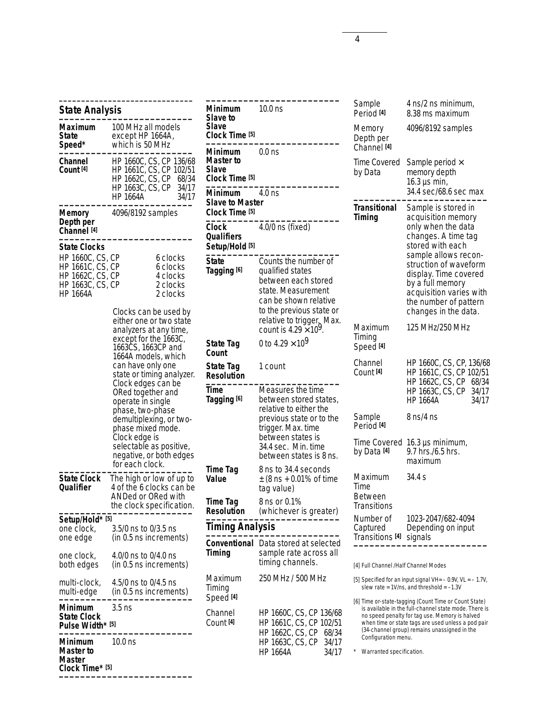|                                                                                              | <b>State Analysis</b>                                                                                                                                                                                                                                                                                                                                                                                                            |                                                          |  |  |
|----------------------------------------------------------------------------------------------|----------------------------------------------------------------------------------------------------------------------------------------------------------------------------------------------------------------------------------------------------------------------------------------------------------------------------------------------------------------------------------------------------------------------------------|----------------------------------------------------------|--|--|
| <b>Maximum</b><br><b>State</b><br>Speed*                                                     | 100 MHz all models<br>except HP 1664A,<br>which is 50 MHz                                                                                                                                                                                                                                                                                                                                                                        |                                                          |  |  |
| Channel<br>Count <sup>[4]</sup>                                                              | HP 1660C, CS, CP 136/68<br>HP 1661C, CS, CP 102/51<br>HP 1662C, CS, CP<br>HP 1663C, CS, CP<br><b>HP 1664A</b>                                                                                                                                                                                                                                                                                                                    | 68/34<br>34/17<br>34/17                                  |  |  |
| <b>Memory</b><br>Depth per<br>Channel <sup>[4]</sup>                                         | 4096/8192 samples                                                                                                                                                                                                                                                                                                                                                                                                                |                                                          |  |  |
| <b>State Clocks</b>                                                                          |                                                                                                                                                                                                                                                                                                                                                                                                                                  |                                                          |  |  |
| HP 1660C, CS, CP<br>HP 1661C, CS, CP<br>HP 1662C, CS, CP<br>HP 1663C, CS, CP<br><br>HP 1664A |                                                                                                                                                                                                                                                                                                                                                                                                                                  | 6 clocks<br>6 clocks<br>4 clocks<br>2 clocks<br>2 clocks |  |  |
|                                                                                              | Clocks can be used by<br>either one or two state<br>analyzers at any time,<br>except for the 1663C,<br>1663CS, 1663CP and<br>1664A models, which<br>can have only one<br>state or timing analyzer.<br>Clock edges can be<br>ORed together and<br>operate in single<br>phase, two-phase<br>demultiplexing, or two-<br>phase mixed mode.<br>Clock edge is<br>selectable as positive,<br>negative, or both edges<br>for each clock. |                                                          |  |  |
| <b>State Clock</b><br>Qualifier                                                              | The high or low of up to<br>4 of the 6 clocks can be<br>ANDed or ORed with                                                                                                                                                                                                                                                                                                                                                       |                                                          |  |  |
|                                                                                              | the clock specification.                                                                                                                                                                                                                                                                                                                                                                                                         |                                                          |  |  |
| Setup/Hold* [5]                                                                              |                                                                                                                                                                                                                                                                                                                                                                                                                                  |                                                          |  |  |
| one clock,<br>one edge                                                                       | 3.5/0 ns to 0/3.5 ns<br>(in 0.5 ns increments)                                                                                                                                                                                                                                                                                                                                                                                   |                                                          |  |  |
| one clock,<br>both edges                                                                     | 4.0/0 ns to 0/4.0 ns<br>(in 0.5 ns increments)                                                                                                                                                                                                                                                                                                                                                                                   |                                                          |  |  |
| multi-clock,<br>multi-edge                                                                   | 4.5/0 ns to 0/4.5 ns<br>(in 0.5 ns increments)                                                                                                                                                                                                                                                                                                                                                                                   |                                                          |  |  |
| <b>Minimum</b><br><b>State Clock</b><br>Pulse Width* [5]                                     | 3.5 ns                                                                                                                                                                                                                                                                                                                                                                                                                           |                                                          |  |  |
| Minimum<br>Master to<br>Master<br>Clock Time* [5]                                            | 10.0 ns                                                                                                                                                                                                                                                                                                                                                                                                                          |                                                          |  |  |

**\_\_\_\_\_\_\_\_\_\_\_\_\_\_\_\_\_\_\_\_\_\_\_\_\_\_\_\_\_\_**

| <b>Minimum</b><br>Slave to<br><b>Slave</b>                 | $10.0$ ns                                                                                                                                                                                                |  |  |
|------------------------------------------------------------|----------------------------------------------------------------------------------------------------------------------------------------------------------------------------------------------------------|--|--|
| Clock Time [5]                                             |                                                                                                                                                                                                          |  |  |
| Minimum<br>Master to<br><b>Slave</b>                       | 0.0 <sub>ns</sub>                                                                                                                                                                                        |  |  |
| Clock Time [5]                                             |                                                                                                                                                                                                          |  |  |
| <b>Minimum</b><br><b>Slave to Master</b><br>Clock Time [5] | $4.0$ ns                                                                                                                                                                                                 |  |  |
| Clock<br>Qualifiers<br>Setup/Hold <sup>[5]</sup>           | 4.0/0 ns (fixed)                                                                                                                                                                                         |  |  |
| State<br>Tagging [6]                                       | Counts the number of<br>qualified states<br>between each stored<br>state. Measurement<br>can be shown relative<br>to the previous state or<br>relative to trigger. Max.<br>count is $4.29 \times 10^9$ . |  |  |
| State Tag<br>Count                                         | 0 to 4.29 $\times$ 10 <sup>9</sup>                                                                                                                                                                       |  |  |
| State Tag<br><b>Resolution</b>                             | 1 count                                                                                                                                                                                                  |  |  |
| Time<br>Tagging [6]                                        | Measures the time<br>between stored states,<br>relative to either the<br>previous state or to the<br>trigger. Max. time<br>between states is<br>34.4 sec. Min. time<br>between states is 8 ns.           |  |  |
| <b>Time Tag</b><br>Value                                   | 8 ns to 34.4 seconds<br>$\pm$ (8 ns + 0.01% of time<br>tag value)                                                                                                                                        |  |  |
| Time Tag<br><b>Resolution</b>                              | 8 ns or 0.1%<br>(whichever is greater)                                                                                                                                                                   |  |  |
| <b>Timing Analysis</b>                                     |                                                                                                                                                                                                          |  |  |
| Timing                                                     | <b>Conventional</b> Data stored at selected<br>sample rate across all<br>timing channels.                                                                                                                |  |  |
| Maximum<br>Timing<br>Speed [4]                             | 250 MHz / 500 MHz                                                                                                                                                                                        |  |  |
| Channel<br>Count <sup>[4]</sup>                            | HP 1660C, CS, CP 136/68<br>HP 1661C, CS, CP 102/51<br>HP 1662C, CS, CP 68/34<br>HP 1663C, CS, CP 34/17<br><b>HP 1664A</b><br>34/17                                                                       |  |  |

**\_\_\_\_\_\_\_\_\_\_\_\_\_\_\_\_\_\_\_\_\_\_\_\_\_**

| Sample<br>Period <sup>[4]</sup>                         | 4 ns/2 ns minimum,<br>8.38 ms maximum                                                                                                                                                                                                                                                |
|---------------------------------------------------------|--------------------------------------------------------------------------------------------------------------------------------------------------------------------------------------------------------------------------------------------------------------------------------------|
| Memory<br>Depth per<br>Channel <sup>[4]</sup>           | 4096/8192 samples                                                                                                                                                                                                                                                                    |
| Time Covered<br>by Data                                 | Sample period $\times$<br>memory depth<br>16.3 $\mu$ s min,<br>34.4 sec/68.6 sec max                                                                                                                                                                                                 |
| <b>Transitional</b><br>Timing                           | Sample is stored in<br>acquisition memory<br>only when the data<br>changes. A time tag<br>stored with each<br>sample allows recon-<br>struction of waveform<br>display. Time covered<br>by a full memory<br>acquisition varies with<br>the number of pattern<br>changes in the data. |
| Maximum<br>Timing<br>Speed <sup>[4]</sup>               | 125 MHz/250 MHz                                                                                                                                                                                                                                                                      |
| Channel<br>Count <sup>[4]</sup>                         | HP 1660C, CS, CP, 136/68<br>HP 1661C, CS, CP 102/51<br>HP 1662C, CS, CP 68/34<br>HP 1663C, CS, CP<br>34/17<br>HP 1664A<br>34/17                                                                                                                                                      |
| Sample<br>Period <sup>[4]</sup>                         | 8 ns/4 ns                                                                                                                                                                                                                                                                            |
| Time Covered<br>by Data [4]                             | 16.3 µs minimum,<br>9.7 hrs./6.5 hrs.<br>maximum                                                                                                                                                                                                                                     |
| Maximum<br>Time<br><b>Between</b><br><b>Transitions</b> | 34.4 s                                                                                                                                                                                                                                                                               |
| Number of<br>Captured<br>Transitions <sup>[4]</sup>     | 1023-2047/682-4094<br>Depending on input<br>signals                                                                                                                                                                                                                                  |

[4] Full Channel /Half Channel Modes

[5] Specified for an input signal VH= – 0.9V, VL = – 1.7V, slew rate = 1V/ns, and threshold = –1.3V

[6] Time or-state-tagging (Count Time or Count State) is available in the full-channel state mode. There is no speed penalty for tag use. Memory is halved when time or state tags are used unless a pod pair (34-channel group) remains unassigned in the Configuration menu.

\* Warranted specification.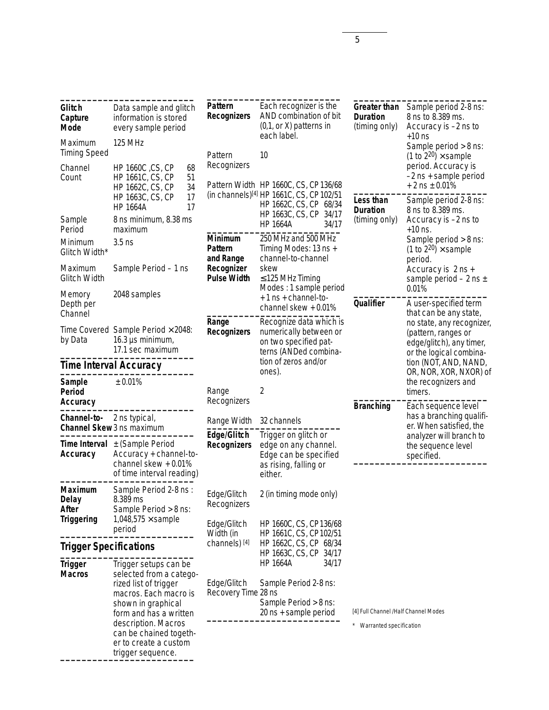| Glitch<br>Capture<br><b>Mode</b> | Data sample and glitch<br>information is stored<br>every sample period                                                                                                                                                                            | Pattern<br><b>Recognizers</b>      | Each recognizer is the<br>AND combination of bit<br>$(0,1,$ or X) patterns in<br>each label.        | <b>Greater than</b><br><b>Duration</b><br>(timing only)           | Sample period 2-8 ns:<br>8 ns to 8.389 ms.<br>Accuracy is -2 ns to<br>$+10$ ns                                                     |
|----------------------------------|---------------------------------------------------------------------------------------------------------------------------------------------------------------------------------------------------------------------------------------------------|------------------------------------|-----------------------------------------------------------------------------------------------------|-------------------------------------------------------------------|------------------------------------------------------------------------------------------------------------------------------------|
| Maximum<br><b>Timing Speed</b>   | <b>125 MHz</b>                                                                                                                                                                                                                                    | Pattern                            | 10                                                                                                  |                                                                   | Sample period > 8 ns:<br>(1 to $2^{20}$ ) $\times$ sample                                                                          |
| Channel<br>Count                 | HP 1660C, CS, CP<br>68<br>HP 1661C, CS, CP<br>51<br>34<br>HP 1662C, CS, CP                                                                                                                                                                        | Recognizers                        | Pattern Width HP 1660C, CS, CP 136/68                                                               |                                                                   | period. Accuracy is<br>-2 ns + sample period<br>$+2$ ns $\pm$ 0.01%                                                                |
|                                  | 17<br>HP 1663C, CS, CP<br>17<br><b>HP 1664A</b>                                                                                                                                                                                                   |                                    | (in channels)[4] HP 1661C, CS, CP 102/51<br>HP 1662C, CS, CP 68/34<br>HP 1663C, CS, CP 34/17        | Less than<br><b>Duration</b>                                      | Sample period 2-8 ns:<br>8 ns to 8.389 ms.                                                                                         |
| Sample<br>Period                 | 8 ns minimum, 8.38 ms<br>maximum                                                                                                                                                                                                                  |                                    | <b>HP 1664A</b><br>34/17                                                                            | (timing only)                                                     | Accuracy is -2 ns to<br>$+10$ ns.                                                                                                  |
| Minimum<br>Glitch Width*         | $3.5$ ns                                                                                                                                                                                                                                          | Minimum<br>Pattern<br>and Range    | 250 MHz and 500 MHz<br>Timing Modes: 13 ns +<br>channel-to-channel                                  |                                                                   | Sample period > 8 ns:<br>(1 to $2^{20}$ ) $\times$ sample<br>period.<br>Accuracy is 2 ns +<br>sample period $-2$ ns $\pm$<br>0.01% |
| Maximum<br><b>Glitch Width</b>   | Sample Period - 1 ns                                                                                                                                                                                                                              | Recognizer<br><b>Pulse Width</b>   | skew<br>$\leq$ 125 MHz Timing<br>Modes: 1 sample period                                             |                                                                   |                                                                                                                                    |
| Memory<br>Depth per<br>Channel   | 2048 samples                                                                                                                                                                                                                                      |                                    | +1 ns + channel-to-<br>channel skew $+0.01\%$                                                       | Qualifier                                                         | A user-specified term<br>that can be any state,                                                                                    |
| by Data                          | Time Covered Sample Period $\times$ 2048:<br>16.3 $\mu$ s minimum,<br>17.1 sec maximum                                                                                                                                                            | Range<br><b>Recognizers</b>        | Recognize data which is<br>numerically between or<br>on two specified pat-<br>terns (ANDed combina- |                                                                   | no state, any recognizer,<br>(pattern, ranges or<br>edge/glitch), any timer,<br>or the logical combina-                            |
|                                  | <b>Time Interval Accuracy</b>                                                                                                                                                                                                                     |                                    | tion of zeros and/or<br>ones).                                                                      |                                                                   | tion (NOT, AND, NAND,<br>OR, NOR, XOR, NXOR) of                                                                                    |
| Sample<br><b>Period</b>          | ± 0.01%                                                                                                                                                                                                                                           | Range                              | 2                                                                                                   |                                                                   | the recognizers and<br>timers.                                                                                                     |
| Accuracy                         |                                                                                                                                                                                                                                                   | Recognizers                        |                                                                                                     | <b>Branching</b>                                                  | Each sequence level<br>has a branching qualifi-                                                                                    |
| Channel-to-                      | 2 ns typical,<br>Channel Skew3 ns maximum                                                                                                                                                                                                         | Range Width                        | 32 channels                                                                                         |                                                                   | er. When satisfied, the                                                                                                            |
| Accuracy                         | <b>Time Interval</b> $\pm$ (Sample Period<br>Accuracy + channel-to-<br>channel skew + 0.01%                                                                                                                                                       | Edge/Glitch<br><b>Recognizers</b>  | Trigger on glitch or<br>edge on any channel.<br>Edge can be specified                               |                                                                   | analyzer will branch to<br>the sequence level<br>specified.                                                                        |
|                                  | of time interval reading)                                                                                                                                                                                                                         |                                    | as rising, falling or<br>either.                                                                    |                                                                   |                                                                                                                                    |
| Maximum<br><b>Delay</b><br>After | Sample Period 2-8 ns:<br>8.389 ms<br>Sample Period > 8 ns:                                                                                                                                                                                        | Edge/Glitch<br>Recognizers         | 2 (in timing mode only)                                                                             |                                                                   |                                                                                                                                    |
| <b>Triggering</b>                | 1,048,575 $\times$ sample<br>period                                                                                                                                                                                                               | Edge/Glitch<br>Width (in           | HP 1660C, CS, CP136/68<br>HP 1661C, CS, CP102/51                                                    |                                                                   |                                                                                                                                    |
| <b>Trigger Specifications</b>    |                                                                                                                                                                                                                                                   | channels) [4]                      | HP 1662C, CS, CP 68/34<br>HP 1663C, CS, CP 34/17                                                    |                                                                   |                                                                                                                                    |
| <b>Trigger</b><br><b>Macros</b>  | Trigger setups can be<br>selected from a catego-<br>rized list of trigger<br>macros. Each macro is<br>shown in graphical<br>form and has a written<br>description. Macros<br>can be chained togeth-<br>er to create a custom<br>trigger sequence. | Edge/Glitch<br>Recovery Time 28 ns | <b>HP 1664A</b><br>34/17<br>Sample Period 2-8 ns:<br>Sample Period > 8 ns:<br>20 ns + sample period | [4] Full Channel /Half Channel Modes<br>* Warranted specification |                                                                                                                                    |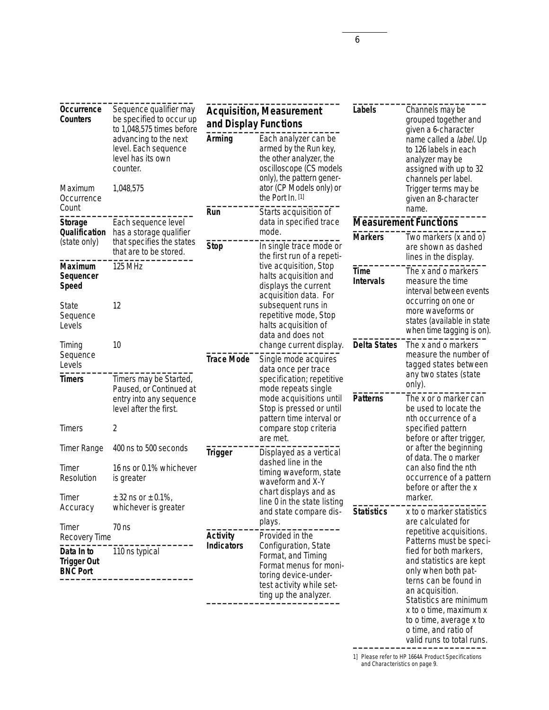| Occurrence<br><b>Counters</b>                       | Sequence qualifier may<br>be specified to occur up<br>to 1,048,575 times before                             | <b>Acquisition, Measurement</b><br>and Display Functions         |                                                                                                                                                                                  | Labels                                                                    | Channels may be<br>grouped together and<br>given a 6-character                                                                                                                                                                                           |
|-----------------------------------------------------|-------------------------------------------------------------------------------------------------------------|------------------------------------------------------------------|----------------------------------------------------------------------------------------------------------------------------------------------------------------------------------|---------------------------------------------------------------------------|----------------------------------------------------------------------------------------------------------------------------------------------------------------------------------------------------------------------------------------------------------|
| Maximum<br>Occurrence                               | advancing to the next<br>level. Each sequence<br>level has its own<br>counter.<br>1,048,575                 | Arming                                                           | Each analyzer can be<br>armed by the Run key,<br>the other analyzer, the<br>oscilloscope (CS models<br>only), the pattern gener-<br>ator (CP Models only) or<br>the Port In. [1] |                                                                           | name called a label. Up<br>to 126 labels in each<br>analyzer may be<br>assigned with up to 32<br>channels per label.<br>Trigger terms may be<br>given an 8-character                                                                                     |
| Count                                               |                                                                                                             | Run                                                              | Starts acquisition of                                                                                                                                                            |                                                                           | name.                                                                                                                                                                                                                                                    |
| <b>Storage</b><br>Qualification                     | Each sequence level<br>has a storage qualifier                                                              |                                                                  | data in specified trace<br>mode.                                                                                                                                                 |                                                                           | <b>Measurement Functions</b>                                                                                                                                                                                                                             |
| (state only)                                        | that specifies the states<br>that are to be stored.                                                         | <b>Stop</b>                                                      | In single trace mode or<br>the first run of a repeti-                                                                                                                            | <b>Markers</b>                                                            | Two markers (x and o)<br>are shown as dashed<br>lines in the display.                                                                                                                                                                                    |
| Maximum<br>Sequencer<br><b>Speed</b>                | 125 MHz                                                                                                     |                                                                  | tive acquisition, Stop<br>halts acquisition and<br>displays the current<br>acquisition data. For                                                                                 |                                                                           | The x and o markers<br>measure the time<br>interval between events<br>occurring on one or                                                                                                                                                                |
| <b>State</b><br>Sequence<br>Levels                  | 12                                                                                                          |                                                                  | subsequent runs in<br>repetitive mode, Stop<br>halts acquisition of<br>data and does not                                                                                         |                                                                           | more waveforms or<br>states (available in state<br>when time tagging is on).                                                                                                                                                                             |
| Timing<br>Sequence<br>Levels                        | 10                                                                                                          | <b>Trace Mode</b>                                                | change current display.<br>Single mode acquires<br>data once per trace                                                                                                           | <b>Delta States</b>                                                       | The x and o markers<br>measure the number of<br>tagged states between<br>any two states (state                                                                                                                                                           |
| <b>Timers</b><br>Timers                             | Timers may be Started,<br>Paused, or Continued at<br>entry into any sequence<br>level after the first.<br>2 |                                                                  | specification; repetitive<br>mode repeats single<br>mode acquisitions until<br>Stop is pressed or until<br>pattern time interval or<br>compare stop criteria                     | <b>Patterns</b>                                                           | only).<br>The x or o marker can<br>be used to locate the<br>nth occurrence of a<br>specified pattern                                                                                                                                                     |
| <b>Timer Range</b>                                  | 400 ns to 500 seconds                                                                                       | <b>Trigger</b>                                                   | are met.<br>Displayed as a vertical                                                                                                                                              |                                                                           | before or after trigger,<br>or after the beginning<br>of data. The o marker                                                                                                                                                                              |
| Timer<br>Resolution                                 | 16 ns or 0.1% whichever<br>is greater                                                                       | dashed line in the<br>timing waveform, state<br>waveform and X-Y |                                                                                                                                                                                  | can also find the nth<br>occurrence of a pattern<br>before or after the x |                                                                                                                                                                                                                                                          |
| Timer                                               | $± 32$ ns or $± 0.1\%$ ,                                                                                    |                                                                  | chart displays and as<br>line 0 in the state listing                                                                                                                             |                                                                           | marker.                                                                                                                                                                                                                                                  |
| Accuracy                                            | whichever is greater                                                                                        |                                                                  | and state compare dis-                                                                                                                                                           | <b>Statistics</b>                                                         | x to o marker statistics                                                                                                                                                                                                                                 |
| Timer<br>Recovery Time                              | $70$ ns                                                                                                     | plays.<br><b>Activity</b><br>Provided in the                     |                                                                                                                                                                                  | are calculated for<br>repetitive acquisitions.<br>Patterns must be speci- |                                                                                                                                                                                                                                                          |
| Data In to<br><b>Trigger Out</b><br><b>BNC Port</b> | 110 ns typical                                                                                              | <b>Indicators</b>                                                | Configuration, State<br>Format, and Timing<br>Format menus for moni-<br>toring device-under-<br>test activity while set-<br>ting up the analyzer.                                |                                                                           | fied for both markers,<br>and statistics are kept<br>only when both pat-<br>terns can be found in<br>an acquisition.<br>Statistics are minimum<br>x to o time, maximum x<br>to o time, average x to<br>o time, and ratio of<br>valid runs to total runs. |

1] Please refer to HP 1664A Product Specifications and Characteristics on page 9.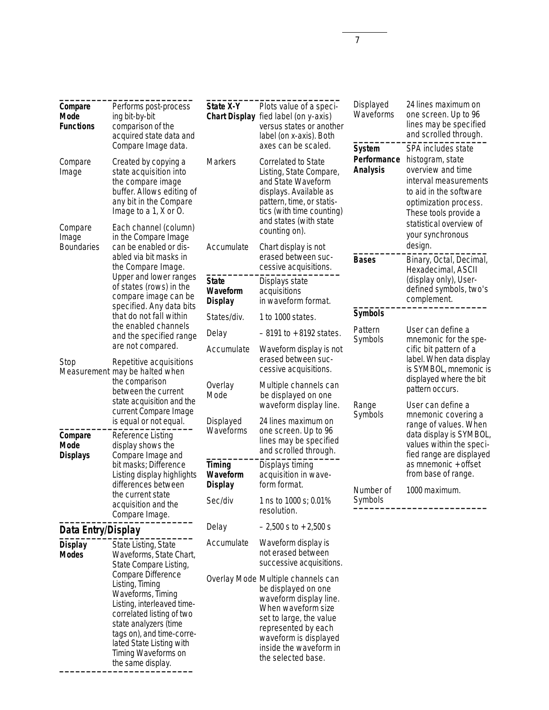| Compare<br>Mode<br><b>Functions</b><br>Compare<br>Image                                                                                                          | Performs post-process<br>ing bit-by-bit<br>comparison of the<br>acquired state data and<br>Compare Image data.<br>Created by copying a<br>state acquisition into<br>the compare image<br>buffer. Allows editing of<br>any bit in the Compare<br>Image to a 1, X or O. | State X-Y<br><b>Chart Display</b><br><b>Markers</b>                                   | Plots value of a speci-<br>fied label (on y-axis)<br>versus states or another<br>label (on x-axis). Both<br>axes can be scaled.<br><b>Correlated to State</b><br>Listing, State Compare,<br>and State Waveform<br>displays. Available as<br>pattern, time, or statis-<br>tics (with time counting)<br>and states (with state | Displayed<br>Waveforms<br><b>System</b><br>Performance<br><b>Analysis</b>    | 24 lines maximum on<br>one screen. Up to 96<br>lines may be specified<br>and scrolled through.<br>SPA includes state<br>histogram, state<br>overview and time<br>interval measurements<br>to aid in the software<br>optimization process.<br>These tools provide a<br>statistical overview of |
|------------------------------------------------------------------------------------------------------------------------------------------------------------------|-----------------------------------------------------------------------------------------------------------------------------------------------------------------------------------------------------------------------------------------------------------------------|---------------------------------------------------------------------------------------|------------------------------------------------------------------------------------------------------------------------------------------------------------------------------------------------------------------------------------------------------------------------------------------------------------------------------|------------------------------------------------------------------------------|-----------------------------------------------------------------------------------------------------------------------------------------------------------------------------------------------------------------------------------------------------------------------------------------------|
| Each channel (column)<br>Compare<br>in the Compare Image<br>Image<br><b>Boundaries</b><br>can be enabled or dis-<br>abled via bit masks in<br>the Compare Image. | Accumulate                                                                                                                                                                                                                                                            | counting on).<br>Chart display is not<br>erased between suc-<br>cessive acquisitions. | <b>Bases</b>                                                                                                                                                                                                                                                                                                                 | your synchronous<br>design.<br>Binary, Octal, Decimal,<br>Hexadecimal, ASCII |                                                                                                                                                                                                                                                                                               |
|                                                                                                                                                                  | Upper and lower ranges<br>of states (rows) in the<br>compare image can be<br>specified. Any data bits                                                                                                                                                                 | <b>State</b><br>Waveform<br><b>Display</b>                                            | Displays state<br>acquisitions<br>in waveform format.                                                                                                                                                                                                                                                                        |                                                                              | (display only), User-<br>defined symbols, two's<br>complement.                                                                                                                                                                                                                                |
|                                                                                                                                                                  | that do not fall within                                                                                                                                                                                                                                               | States/div.                                                                           | 1 to 1000 states.                                                                                                                                                                                                                                                                                                            | <b>Symbols</b>                                                               |                                                                                                                                                                                                                                                                                               |
|                                                                                                                                                                  | the enabled channels<br>and the specified range                                                                                                                                                                                                                       | Delay                                                                                 | $-8191$ to $+8192$ states.                                                                                                                                                                                                                                                                                                   | Pattern                                                                      | User can define a                                                                                                                                                                                                                                                                             |
| are not compared.<br>Stop<br>Repetitive acquisitions                                                                                                             |                                                                                                                                                                                                                                                                       | Accumulate                                                                            | Waveform display is not<br>erased between suc-<br>cessive acquisitions.                                                                                                                                                                                                                                                      | Symbols                                                                      | mnemonic for the spe-<br>cific bit pattern of a<br>label. When data display<br>is SYMBOL, mnemonic is                                                                                                                                                                                         |
|                                                                                                                                                                  | Measurement may be halted when<br>the comparison<br>between the current<br>state acquisition and the<br>current Compare Image<br>is equal or not equal.                                                                                                               | Overlay<br>Mode<br>Displayed                                                          | Multiple channels can<br>be displayed on one<br>waveform display line.<br>24 lines maximum on                                                                                                                                                                                                                                | Range<br>Symbols                                                             | displayed where the bit<br>pattern occurs.<br>User can define a<br>mnemonic covering a<br>range of values. When                                                                                                                                                                               |
| Compare<br>Mode<br><b>Displays</b>                                                                                                                               | Reference Listing<br>display shows the<br>Compare Image and                                                                                                                                                                                                           | Waveforms                                                                             | one screen. Up to 96<br>lines may be specified<br>and scrolled through.                                                                                                                                                                                                                                                      |                                                                              | data display is SYMBOL,<br>values within the speci-<br>fied range are displayed                                                                                                                                                                                                               |
|                                                                                                                                                                  | bit masks; Difference<br>Listing display highlights<br>differences between                                                                                                                                                                                            | Timing<br>Waveform<br><b>Display</b>                                                  | Displays timing<br>acquisition in wave-<br>form format.                                                                                                                                                                                                                                                                      | Number of                                                                    | as mnemonic + offset<br>from base of range.<br>1000 maximum.                                                                                                                                                                                                                                  |
| the current state<br>acquisition and the<br>Compare Image.                                                                                                       |                                                                                                                                                                                                                                                                       | Sec/div                                                                               | 1 ns to 1000 s; 0.01%<br>resolution.                                                                                                                                                                                                                                                                                         | Symbols                                                                      |                                                                                                                                                                                                                                                                                               |
| Data Entry/Display                                                                                                                                               |                                                                                                                                                                                                                                                                       | Delay                                                                                 | $-2,500$ s to $+2,500$ s                                                                                                                                                                                                                                                                                                     |                                                                              |                                                                                                                                                                                                                                                                                               |
| <b>Display</b><br><b>Modes</b>                                                                                                                                   | State Listing, State<br>Waveforms, State Chart,<br>State Compare Listing,                                                                                                                                                                                             | Accumulate                                                                            | Waveform display is<br>not erased between<br>successive acquisitions.                                                                                                                                                                                                                                                        |                                                                              |                                                                                                                                                                                                                                                                                               |
|                                                                                                                                                                  | Compare Difference<br>Listing, Timing<br>Waveforms, Timing<br>Listing, interleaved time-<br>correlated listing of two<br>state analyzers (time<br>tags on), and time-corre-<br>lated State Listing with<br>Timing Waveforms on<br>the same display.                   |                                                                                       | Overlay Mode Multiple channels can<br>be displayed on one<br>waveform display line.<br>When waveform size<br>set to large, the value<br>represented by each<br>waveform is displayed<br>inside the waveform in<br>the selected base.                                                                                         |                                                                              |                                                                                                                                                                                                                                                                                               |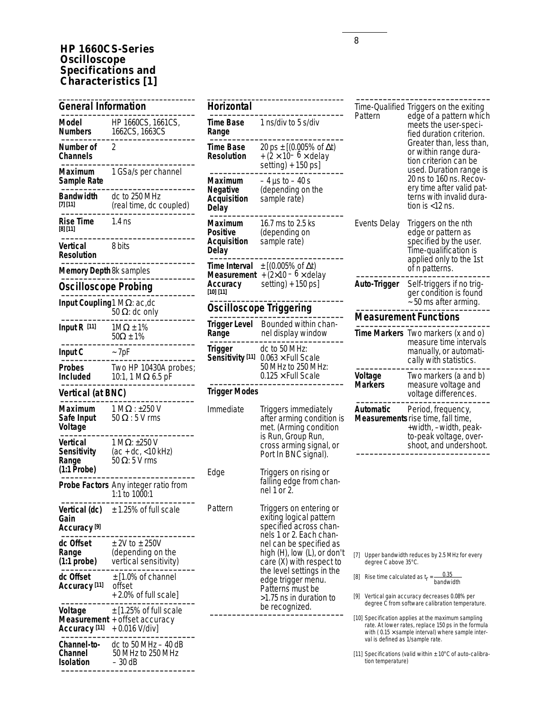## **HP 1660CS-Series Oscilloscope Specifications and Characteristics [1]**

| <b>General Information</b>                        |                                                                       |
|---------------------------------------------------|-----------------------------------------------------------------------|
| Model<br><b>Numbers</b>                           | HP 1660CS, 1661CS,<br>1662CS, 1663CS                                  |
| Number of<br>Channels                             | 2                                                                     |
| Maximum<br>Sample Rate                            | 1 GSa/s per channel                                                   |
| Bandwidth<br>[7] [11]                             | dc to 250 MHz<br>(real time, dc coupled)                              |
| Rise Time<br>[8] [11]                             | $1.4$ ns                                                              |
| Vertical<br><b>Resolution</b>                     | 8 bits                                                                |
| <b>Memory Depth 8k samples</b>                    |                                                                       |
| <b>Oscilloscope Probing</b>                       |                                                                       |
| Input Coupling1 MΩ: ac,dc                         | 50 $\Omega$ : dc only                                                 |
| Input $R$ [11]                                    | $1M\Omega \pm 1\%$<br>$50\Omega \pm 1\%$                              |
| Input C                                           | $~\sim$ 7pF                                                           |
| <b>Probes</b><br><b>Included</b>                  | Two HP 10430A probes;<br>10:1, 1 M $\Omega$ 6.5 pF                    |
| Vertical (at BNC)                                 |                                                                       |
| Maximum<br>Safe Input<br>Voltage                  | $1 M\Omega$ : ±250 V<br>$50\,\Omega$ : 5 V rms                        |
| Vertical<br>Sensitivity<br>Range<br>$(1:1$ Probe) | $1 M\Omega$ : ±250 V<br>$(ac + dc, <10 kHz)$<br>50 $\Omega$ : 5 V rms |
|                                                   | <b>Probe Factors</b> Any integer ratio from<br>1:1 to 1000:1          |
| Vertical (dc)<br>Gain<br>Accuracy [9]             | $\pm$ 1.25% of full scale                                             |
| dc Offset<br>Range<br>$(1:1 \text{ probe})$       | $±$ 2V to $±$ 250V<br>(depending on the<br>vertical sensitivity)      |
| dc Offset<br>Accuracy <sup>[11]</sup>             | $±$ [1.0% of channel<br>offset<br>+2.0% of full scale]                |
| Voltage<br>Measurement<br>Accuracy [11]           | $\pm$ [1.25% of full scale<br>+ offset accuracy<br>+ 0.016 V/div]     |
| <b>Channel-to-</b><br>Channel                     | dc to 50 MHz $-$ 40 dB<br>50 MHz to 250 MHz                           |

50 MHz to 250 MHz<br>- 30 dB

 $Isolation$ 

| Horizontal                                                |                                                                                                                                                                                                                                                                                                                   |
|-----------------------------------------------------------|-------------------------------------------------------------------------------------------------------------------------------------------------------------------------------------------------------------------------------------------------------------------------------------------------------------------|
| Time Base<br>Range                                        | 1 ns/div to 5 s/div                                                                                                                                                                                                                                                                                               |
| <b>Time Base</b><br><b>Resolution</b>                     | 20 ps $\pm$ [(0.005% of $\Delta t$ )<br>$+(2\times 10^{-6}\times$ delay<br>setting) + 150 ps]                                                                                                                                                                                                                     |
| Maximum<br>Negative<br><b>Acquisition</b><br>Delay        | – 4 µs to – 40 s<br>(depending on the<br>sample rate)                                                                                                                                                                                                                                                             |
| Maximum<br><b>Positive</b><br><b>Acquisition</b><br>Delay | 16.7 ms to 2.5 ks<br>(depending on<br>sample rate)                                                                                                                                                                                                                                                                |
| Time Interval<br>Measurement<br>Accuracy<br>[10] [11]     | ± [(0.005% of ∆t)<br>$+(2\times10-6\times$ délay<br>setting $) + 150$ ps]                                                                                                                                                                                                                                         |
|                                                           | <b>Oscilloscope Triggering</b>                                                                                                                                                                                                                                                                                    |
| <b>Trigger Level</b><br>Range                             | Bounded within chan-<br>nel display window                                                                                                                                                                                                                                                                        |
| Trigger<br>Sensitivity <sup>[11]</sup>                    | dc to 50 MHz:<br>$0.063 \times$ Full Scale<br>50 MHz to 250 MHz:<br>0.125 $\times$ Full Scale                                                                                                                                                                                                                     |
| <b>Trigger Modes</b>                                      |                                                                                                                                                                                                                                                                                                                   |
| Immediate                                                 | Triggers immediately<br>after arming condition is<br>met. (Arming condition<br>is Run, Group Run,<br>cross arming signal, or<br>Port In BNC signal).                                                                                                                                                              |
| Edge                                                      | Triggers on rising or<br>falling edge from chan-<br>nel 1 or 2.                                                                                                                                                                                                                                                   |
| Pattern                                                   | Triggers on entering or<br>exiting logical pattern<br>specified across chan-<br>nels 1 or 2. Each chan-<br>nel can be specified as<br>high (H), low (L), or don't<br>care (X) with respect to<br>the level settings in the<br>edge trigger menu.<br>Patterns must be<br>>1.75 ns in duration to<br>be recognized. |

| <b>Horizontal</b>                                  |                                                                                                                                                                                                                                                                                                                   |                                                                                         | Time-Qualified Triggers on the exiting                                                                                                                                                                                                                                                                                                                                                           |
|----------------------------------------------------|-------------------------------------------------------------------------------------------------------------------------------------------------------------------------------------------------------------------------------------------------------------------------------------------------------------------|-----------------------------------------------------------------------------------------|--------------------------------------------------------------------------------------------------------------------------------------------------------------------------------------------------------------------------------------------------------------------------------------------------------------------------------------------------------------------------------------------------|
| 1 ns/div to 5 s/div<br>Time Base<br>Range          |                                                                                                                                                                                                                                                                                                                   | Pattern<br>edge of a pattern which<br>meets the user-speci-<br>fied duration criterion. |                                                                                                                                                                                                                                                                                                                                                                                                  |
| Time Base<br>Resolution                            | 20 ps $\pm$ [(0.005% of $\Delta t$ )<br>$+(2\times 10^{-6}\times$ delay<br>setting) $+ 150$ ps]                                                                                                                                                                                                                   |                                                                                         | Greater than, less than,<br>or within range dura-<br>tion criterion can be<br>used. Duration range is                                                                                                                                                                                                                                                                                            |
| Maximum<br>Negative<br><b>Acquisition</b><br>Delay | – 4 µs to – 40 s<br>(depending on the<br>sample rate)                                                                                                                                                                                                                                                             |                                                                                         | 20 ns to 160 ns. Recov-<br>ery time after valid pat-<br>terns with invalid dura-<br>tion is $<$ 12 ns.                                                                                                                                                                                                                                                                                           |
| Maximum<br>Positive<br>Acquisition<br>Delay        | 16.7 ms to 2.5 ks<br>(depending on<br>sample rate)                                                                                                                                                                                                                                                                | Events Delay                                                                            | Triggers on the nth<br>edge or pattern as<br>specified by the user.<br>Time-qualification is<br>applied only to the 1st                                                                                                                                                                                                                                                                          |
| Time Interval<br>Measurement<br>Accuracy           | $\pm$ [(0.005% of $\Delta t$ )<br>$+(2\times10-6\times$ delay<br>setting) + 150 ps]                                                                                                                                                                                                                               | Auto-Trigger                                                                            | of n patterns.<br>Self-triggers if no trig-                                                                                                                                                                                                                                                                                                                                                      |
| [10] [11]                                          | <b>Oscilloscope Triggering</b>                                                                                                                                                                                                                                                                                    |                                                                                         | ger condition is found<br>$\sim$ 50 ms after arming.                                                                                                                                                                                                                                                                                                                                             |
|                                                    | Bounded within chan-                                                                                                                                                                                                                                                                                              |                                                                                         | <b>Measurement Functions</b>                                                                                                                                                                                                                                                                                                                                                                     |
| <b>Trigger Level</b><br>Range                      | nel display window                                                                                                                                                                                                                                                                                                |                                                                                         | Time Markers Two markers (x and o)<br>measure time intervals                                                                                                                                                                                                                                                                                                                                     |
| Trigger<br>Sensitivity <sup>[11]</sup>             | dc to 50 MHz:<br>$0.063 \times$ Full Scale<br>50 MHz to 250 MHz:                                                                                                                                                                                                                                                  |                                                                                         | manually, or automati-<br>cally with statistics.                                                                                                                                                                                                                                                                                                                                                 |
| <b>Trigger Modes</b>                               | $0.125 \times$ Full Scale                                                                                                                                                                                                                                                                                         | Voltage<br><b>Markers</b>                                                               | Two markers (a and b)<br>measure voltage and<br>voltage differences.                                                                                                                                                                                                                                                                                                                             |
| Immediate                                          | Triggers immediately<br>after arming condition is<br>met. (Arming condition<br>is Run, Group Run,<br>cross arming signal, or<br>Port In BNC signal).                                                                                                                                                              | Automatic                                                                               | Period, frequency,<br>Measurements rise time, fall time,<br>+width, -width, peak-<br>to-peak voltage, over-<br>shoot, and undershoot.                                                                                                                                                                                                                                                            |
| Edge                                               | Triggers on rising or<br>falling edge from chan-<br>nel $1$ or $2$ .                                                                                                                                                                                                                                              |                                                                                         |                                                                                                                                                                                                                                                                                                                                                                                                  |
| Pattern                                            | Triggers on entering or<br>exiting logical pattern<br>specified across chan-<br>nels 1 or 2. Each chan-<br>nel can be specified as<br>high (H), low (L), or don't<br>care (X) with respect to<br>the level settings in the<br>edge trigger menu.<br>Patterns must be<br>>1.75 ns in duration to<br>be recognized. | [7]<br>degree C above 35°C.<br>val is defined as 1/sample rate.                         | Upper bandwidth reduces by 2.5 MHz for every<br>[8] Rise time calculated as $t_r = \frac{0.35}{\text{bandwidth}}$<br>[9] Vertical gain accuracy decreases 0.08% per<br>degree C from software calibration temperature.<br>[10] Specification applies at the maximum sampling<br>rate. At lower rates, replace 150 ps in the formula<br>with ( $0.15 \times$ sample interval) where sample inter- |

[11] Specifications (valid within ± 10°C of auto-calibration temperature)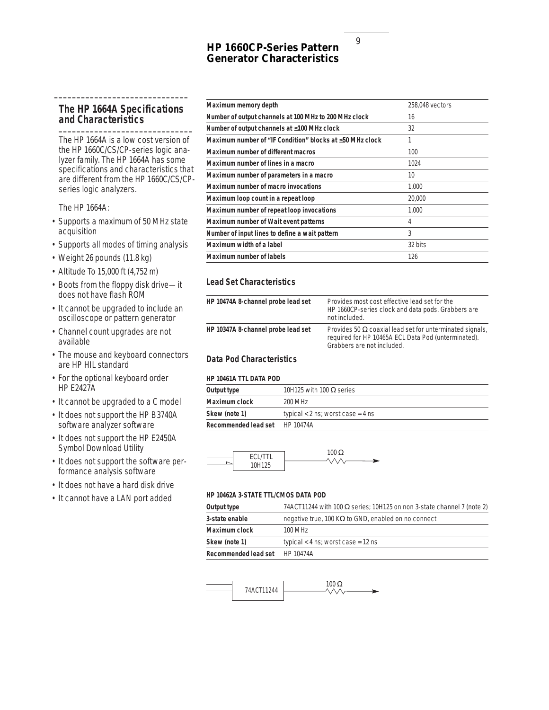## **HP 1660CP-Series Pattern Generator Characteristics**

## **The HP 1664A Specifications and Characteristics \_\_\_\_\_\_\_\_\_\_\_\_\_\_\_\_\_\_\_\_\_\_\_\_\_\_\_\_\_\_**

**\_\_\_\_\_\_\_\_\_\_\_\_\_\_\_\_\_\_\_\_\_\_\_\_\_\_\_\_\_\_**

The HP 1664A is a low cost version of the HP 1660C/CS/CP-series logic analyzer family. The HP 1664A has some specifications and characteristics that are different from the HP 1660C/CS/CPseries logic analyzers.

The HP 1664A:

- Supports a maximum of 50 MHz state acquisition
- Supports all modes of timing analysis
- Weight 26 pounds (11.8 kg)
- Altitude To 15,000 ft (4,752 m)
- Boots from the floppy disk drive—it does not have flash ROM
- It cannot be upgraded to include an oscilloscope or pattern generator
- Channel count upgrades are not available
- The mouse and keyboard connectors are HP HIL standard
- For the optional keyboard order HP E2427A
- It cannot be upgraded to a C model
- It does not support the HP B3740A software analyzer software
- It does not support the HP E2450A Symbol Download Utility
- It does not support the software performance analysis software
- It does not have a hard disk drive
- It cannot have a LAN port added

| Maximum memory depth                                     | 258,048 vectors |
|----------------------------------------------------------|-----------------|
|                                                          |                 |
| Number of output channels at 100 MHz to 200 MHz clock    | 16              |
| Number of output channels at ≤100 MHz clock              | 32              |
| Maximum number of "IF Condition" blocks at ≤50 MHz clock | 1               |
| Maximum number of different macros                       | 100             |
| Maximum number of lines in a macro                       | 1024            |
| Maximum number of parameters in a macro                  | 10              |
| Maximum number of macro invocations                      | 1.000           |
| Maximum loop count in a repeat loop                      | 20,000          |
| Maximum number of repeat loop invocations                | 1.000           |
| Maximum number of Wait event patterns                    | 4               |
| Number of input lines to define a wait pattern           | 3               |
| Maximum width of a label                                 | 32 bits         |
| Maximum number of labels                                 | 126             |
|                                                          |                 |

## **Lead Set Characteristics**

| HP 10474A 8-channel probe lead set | Provides most cost effective lead set for the<br>HP 1660CP-series clock and data pods. Grabbers are<br>not included.                                 |
|------------------------------------|------------------------------------------------------------------------------------------------------------------------------------------------------|
| HP 10347A 8-channel probe lead set | Provides 50 $\Omega$ coaxial lead set for unterminated signals,<br>required for HP 10465A ECL Data Pod (unterminated).<br>Grabbers are not included. |

## **Data Pod Characteristics**

#### **HP 10461A TTL DATA POD**

| Output type          | 10H125 with 100 $\Omega$ series     |
|----------------------|-------------------------------------|
| Maximum clock        | 200 MHz                             |
| Skew (note 1)        | typical $<$ 2 ns; worst case = 4 ns |
| Recommended lead set | HP 10474A                           |



#### **HP 10462A 3-STATE TTL/CMOS DATA POD**

| Output type          | 74ACT11244 with 100 $\Omega$ series; 10H125 on non 3-state channel 7 (note 2) |
|----------------------|-------------------------------------------------------------------------------|
| 3-state enable       | negative true, 100 K $\Omega$ to GND, enabled on no connect                   |
| Maximum clock        | 100 MHz                                                                       |
| Skew (note 1)        | typical $<$ 4 ns; worst case = 12 ns                                          |
| Recommended lead set | HP 10474A                                                                     |

$$
\overbrace{\qquad \qquad } \qquad \qquad } \qquad \qquad \overbrace{\qquad \qquad } \qquad \qquad } \qquad \qquad \overbrace{\qquad \qquad } \qquad \qquad \overbrace{\qquad \qquad } \qquad \qquad } \qquad \qquad \overbrace{\qquad \qquad } \qquad \qquad \overbrace{\qquad \qquad } \qquad \qquad \overbrace{\qquad \qquad } \qquad \qquad \qquad } \qquad \qquad \overbrace{\qquad \qquad } \qquad \qquad \overbrace{\qquad \qquad } \qquad \qquad \qquad } \qquad \qquad \overbrace{\qquad \qquad } \qquad \qquad \overbrace{\qquad \qquad } \qquad \qquad \qquad \overbrace{\qquad \qquad } \qquad \qquad \qquad } \qquad \qquad \overbrace{\qquad \qquad } \qquad \qquad \overbrace{\qquad \qquad } \qquad \qquad } \qquad \qquad \overbrace{\qquad \qquad } \qquad \qquad \overbrace{\qquad \qquad } \qquad \qquad } \qquad \qquad \overbrace{\qquad \qquad } \qquad \qquad \overbrace{\qquad \qquad } \qquad \qquad } \qquad \qquad \overbrace{\qquad \qquad } \qquad \qquad \overbrace{\qquad \qquad } \qquad \qquad } \qquad \qquad \overbrace{\qquad \qquad } \qquad \qquad \qquad } \qquad \qquad \overbrace{\qquad \qquad } \qquad \qquad } \qquad \qquad \overbrace{\qquad \qquad } \qquad \qquad } \qquad \qquad \overbrace{\qquad \qquad } \qquad \qquad } \qquad \qquad \overbrace{\qquad \qquad } \qquad \qquad } \qquad \qquad \overbrace{\qquad \qquad } \qquad \qquad } \qquad \qquad \overbrace{\qquad \qquad } \qquad \qquad } \qquad \qquad \overbrace{\qquad \qquad } \qquad \qquad } \qquad \qquad \overbrace{\qquad \qquad } \qquad \qquad } \qquad \qquad \overbrace{\qquad \qquad } \qquad \qquad } \qquad \qquad \overbrace{\qquad \qquad } \qquad \qquad } \qquad \qquad \overbrace{\qquad \qquad } \qquad \qquad } \qquad \qquad \overbrace{\qquad \qquad } \qquad \qquad } \qquad \qquad \overbrace{\qquad \qquad } \qquad \qquad } \qquad \qquad \overbrace{\qquad \qquad } \qquad \qquad } \qquad \qquad \overbrace{\qquad \qquad }
$$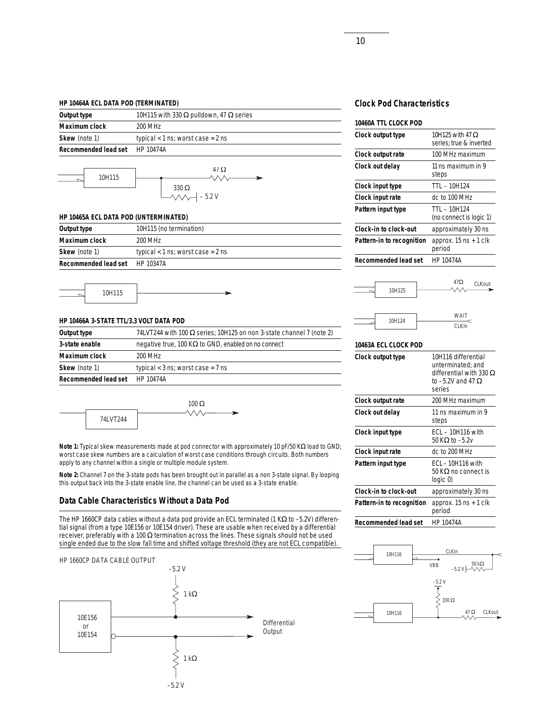#### **HP 10464A ECL DATA POD (TERMINATED)**

| Output type          | 10H115 with 330 $\Omega$ pulldown, 47 $\Omega$ series |
|----------------------|-------------------------------------------------------|
| Maximum clock        | 200 MHz                                               |
| Skew (note 1)        | typical $<$ 1 ns; worst case = 2 ns                   |
| Recommended lead set | HP 10474A                                             |
|                      |                                                       |



#### **HP 10465A ECL DATA POD (UNTERMINATED)**

| Output type                    | 10H115 (no termination)             |
|--------------------------------|-------------------------------------|
| Maximum clock                  | 200 MHz                             |
| Skew (note 1)                  | typical $<$ 1 ns; worst case = 2 ns |
| Recommended lead set HP 10347A |                                     |

10H115

#### **HP 10466A 3-STATE TTL/3.3 VOLT DATA POD**

| Output type          | 74LVT244 with 100 $\Omega$ series; 10H125 on non 3-state channel 7 (note 2) |
|----------------------|-----------------------------------------------------------------------------|
| 3-state enable       | negative true, 100 K $\Omega$ to GND, enabled on no connect                 |
| Maximum clock        | 200 MHz                                                                     |
| Skew (note 1)        | typical $<$ 3 ns; worst case = 7 ns                                         |
| Recommended lead set | HP 10474A                                                                   |

 $100 Ω$ 74LVT244

**Note 1:** Typical skew measurements made at pod connector with approximately 10 pF/50 KΩ load to GND; worst case skew numbers are a calculation of worst case conditions through circuits. Both numbers apply to any channel within a single or multiple module system.

**Note 2:** Channel 7 on the 3-state pods has been brought out in parallel as a non 3-state signal. By looping this output back into the 3-state enable line, the channel can be used as a 3-state enable.

## **Data Cable Characteristics Without a Data Pod**

The HP 1660CP data cables without a data pod provide an ECL terminated (1 KΩ to –5.2V) differential signal (from a type 10E156 or 10E154 driver). These are usable when received by a differential receiver, preferably with a 100 Ω termination across the lines. These signals should not be used single ended due to the slow fall time and shifted voltage threshold (they are not ECL compatible).



## **Clock Pod Characteristics**

| 10H125 with 47 $\Omega$<br>series; true & inverted |
|----------------------------------------------------|
| 100 MHz maximum                                    |
| 11 ns maximum in 9<br>steps                        |
| TTL - 10H124                                       |
| dc to 100 MHz                                      |
| TTL - 10H124<br>(no connect is logic 1)            |
| approximately 30 ns                                |
| approx. $15$ ns $+1$ clk<br>period                 |
| HP 10474A                                          |
|                                                    |





#### **10463A ECL CLOCK POD**

| Clock output type         | 10H116 differential<br>unterminated: and<br>differential with 330 $\Omega$<br>to $-5.2V$ and 47 $\Omega$<br>series |
|---------------------------|--------------------------------------------------------------------------------------------------------------------|
| Clock output rate         | 200 MHz maximum                                                                                                    |
| Clock out delay           | 11 ns maximum in 9<br>steps                                                                                        |
| Clock input type          | ECL – 10H116 with<br>50 K $\Omega$ to $-5.2v$                                                                      |
| Clock input rate          | dc to 200 MHz                                                                                                      |
| Pattern input type        | $ECL - 10H116$ with<br>50 KΩ no connect is<br>logic 0)                                                             |
| Clock-in to clock-out     | approximately 30 ns                                                                                                |
| Pattern-in to recognition | approx. $15$ ns $+1$ clk<br>period                                                                                 |
| Recommended lead set      | HP 10474A                                                                                                          |

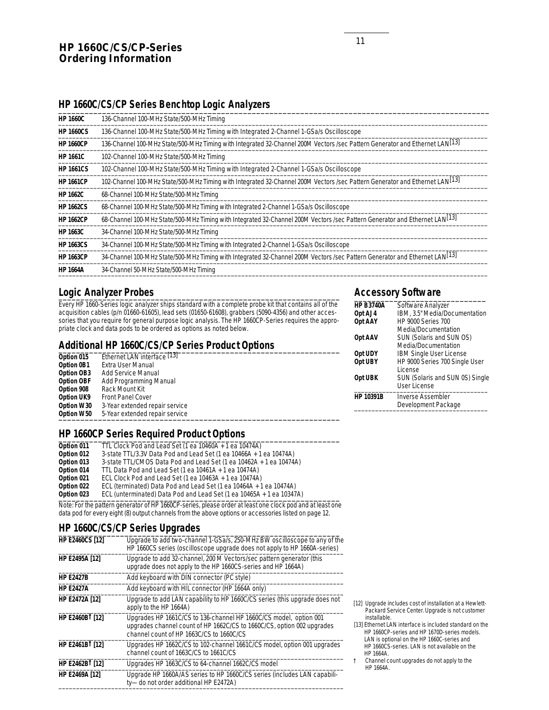## **HP 1660C/CS/CP-Series Ordering Information**

# **HP 1660C/CS/CP Series Benchtop Logic Analyzers** \_\_\_\_\_\_\_\_\_\_\_\_\_\_\_\_\_\_\_\_\_\_\_\_\_\_\_\_\_\_\_\_\_\_\_\_\_\_\_\_\_\_\_\_\_\_\_\_\_\_\_\_\_\_\_\_\_\_\_\_\_\_\_\_\_\_\_\_\_\_\_\_\_\_\_\_\_\_\_\_\_\_\_\_\_\_\_\_\_\_\_\_\_\_\_\_\_\_

| <b>HP 1660C</b>  | 136-Channel 100-MHz State/500-MHz Timing                                                                                                 |
|------------------|------------------------------------------------------------------------------------------------------------------------------------------|
| <b>HP 1660CS</b> | 136-Channel 100-MHz State/500-MHz Timing with Integrated 2-Channel 1-GSa/s Oscilloscope                                                  |
| <b>HP 1660CP</b> | 136-Channel 100-MHz State/500-MHz Timing with Integrated 32-Channel 200M Vectors /sec Pattern Generator and Ethernet LAN <sup>[13]</sup> |
| <b>HP 1661C</b>  | 102-Channel 100-MHz State/500-MHz Timing                                                                                                 |
| <b>HP 1661CS</b> | 102-Channel 100-MHz State/500-MHz Timing with Integrated 2-Channel 1-GSa/s Oscilloscope                                                  |
| <b>HP 1661CP</b> | 102-Channel 100-MHz State/500-MHz Timing with Integrated 32-Channel 200M Vectors /sec Pattern Generator and Ethernet LAN <sup>[13]</sup> |
| <b>HP 1662C</b>  | 68-Channel 100-MHz State/500-MHz Timing                                                                                                  |
| <b>HP 1662CS</b> | 68-Channel 100-MHz State/500-MHz Timing with Integrated 2-Channel 1-GSa/s Oscilloscope                                                   |
| <b>HP 1662CP</b> | 68-Channel 100-MHz State/500-MHz Timing with Integrated 32-Channel 200M Vectors /sec Pattern Generator and Ethernet LAN <sup>[13]</sup>  |
| <b>HP 1663C</b>  | 34-Channel 100-MHz State/500-MHz Timing                                                                                                  |
| <b>HP 1663CS</b> | 34-Channel 100-MHz State/500-MHz Timing with Integrated 2-Channel 1-GSa/s Oscilloscope                                                   |
| <b>HP 1663CP</b> | 34-Channel 100-MHz State/500-MHz Timing with Integrated 32-Channel 200M Vectors /sec Pattern Generator and Ethernet LAN <sup>[13]</sup>  |
| <b>HP 1664A</b>  | 34-Channel 50-MHz State/500-MHz Timing                                                                                                   |

## Logic Analyzer Probes

Every HP 1660-Series logic analyzer ships standard with a complete probe kit that contains all of the acquisition cables (p/n 01660-61605), lead sets (01650-61608), grabbers (5090-4356) and other accessories that you require for general purpose logic analysis. The HP 1660CP-Series requires the appropriate clock and data pods to be ordered as options as noted below.

## **Additional HP 1660C/CS/CP Series Product Options** \_\_\_\_\_\_\_\_\_\_\_\_\_\_\_\_\_\_\_\_\_\_\_\_\_\_\_\_\_\_\_\_\_\_\_\_\_\_\_\_\_\_\_\_\_\_\_\_\_\_\_\_\_\_\_\_\_\_\_\_\_\_\_\_

| Option 015        | Ethernet LAN interface <sup>[13]</sup> |                |
|-------------------|----------------------------------------|----------------|
| Option 0B1        | Extra User Manual                      | 0              |
| Option OB3        | <b>Add Service Manual</b>              |                |
| <b>Option OBF</b> | Add Programming Manual                 | 0              |
| Option 908        | Rack Mount Kit                         |                |
| <b>Option UK9</b> | <b>Front Panel Cover</b>               | $\overline{H}$ |
| Option W30        | 3-Year extended repair service         |                |
| Option W50        | 5-Year extended repair service         |                |
|                   |                                        |                |

## **HP 1660CP Series Required Product Options**

| TTL Clock Pod and Lead Set (1 ea 10460A + 1 ea 10474A)                    |
|---------------------------------------------------------------------------|
| 3-state TTL/3.3V Data Pod and Lead Set (1 ea 10466A + 1 ea 10474A)        |
| 3-state TTL/CMOS Data Pod and Lead Set (1 ea 10462A + 1 ea 10474A)        |
| TTL Data Pod and Lead Set $(1$ ea 10461A $+$ 1 ea 10474A)                 |
| ECL Clock Pod and Lead Set (1 ea $10463A + 1$ ea $10474A$ )               |
| ECL (terminated) Data Pod and Lead Set (1 ea 10464A + 1 ea 10474A)        |
| ECL (unterminated) Data Pod and Lead Set (1 ea $10465A + 1$ ea $10347A$ ) |
|                                                                           |

Note: For the pattern generator of HP 1660CP-series, please order at least one clock pod and at least one data pod for every eight (8) output channels from the above options or accessories listed on page 12.

## **HP 1660C/CS/CP Series Upgrades** \_\_\_\_\_\_\_\_\_\_\_\_\_\_\_\_\_\_\_\_\_\_\_\_\_\_\_\_\_\_\_\_\_\_\_\_\_\_\_\_\_\_\_\_\_\_\_\_\_\_\_\_\_\_\_\_\_\_\_\_\_\_\_\_

| <b>HP E2460CS [12]</b>      | Upgrade to add two-channel 1-GSa/s, 250-MHz BW oscilloscope to any of the<br>HP 1660CS series (oscilloscope upgrade does not apply to HP 1660A-series)                                  |
|-----------------------------|-----------------------------------------------------------------------------------------------------------------------------------------------------------------------------------------|
| HP E2495A [12]              | Upgrade to add 32-channel, 200 M Vectors/sec pattern generator (this<br>upgrade does not apply to the HP 1660CS-series and HP 1664A)                                                    |
| <b>HP E2427B</b>            | Add keyboard with DIN connector (PC style)                                                                                                                                              |
| <b>HP E2427A</b>            | Add keyboard with HIL connector (HP 1664A only)                                                                                                                                         |
| <b>HP E2472A [12]</b>       | Upgrade to add LAN capability to HP 1660C/CS series (this upgrade does not<br>apply to the HP 1664A)                                                                                    |
| HP E2460B <sup>†</sup> [12] | Upgrades HP 1661C/CS to 136-channel HP 1660C/CS model, option 001<br>upgrades channel count of HP 1662C/CS to 1660C/CS, option 002 upgrades<br>channel count of HP 1663C/CS to 1660C/CS |
| HP E2461B <sup>†</sup> [12] | Upgrades HP 1662C/CS to 102-channel 1661C/CS model, option 001 upgrades<br>channel count of 1663C/CS to 1661C/CS                                                                        |
| HP E2462B <sup>†</sup> [12] | Upgrades HP 1663C/CS to 64-channel 1662C/CS model                                                                                                                                       |
| HP E2469A [12]              | Upgrade HP 1660A/AS series to HP 1660C/CS series (includes LAN capabili-<br>ty-do not order additional HP E2472A)                                                                       |
|                             |                                                                                                                                                                                         |

## **Accessory Software**

| <b>HP B3740A</b> | Software Analyzer               |
|------------------|---------------------------------|
| Opt AJ4          | IBM, 3.5" Media/Documentation   |
| Opt AAY          | <b>HP 9000 Series 700</b>       |
|                  | Media/Documentation             |
| Opt AAV          | SUN (Solaris and SUN OS)        |
|                  | Media/Documentation             |
| Opt UDY          | <b>IBM Single User License</b>  |
| Opt UBY          | HP 9000 Series 700 Single User  |
|                  | I icense                        |
| Opt UBK          | SUN (Solaris and SUN 0S) Single |
|                  | User License                    |
| <b>HP 10391B</b> | <b>Inverse Assembler</b>        |
|                  | Development Package             |
|                  |                                 |

- [12] Upgrade includes cost of installation at a Hewlett-Packard Service Center. Upgrade is not customer installable.
- [13] Ethernet LAN interface is included standard on the HP 1660CP-series and HP 1670D-series models. LAN is optional on the HP 1660C-series and HP 1660CS-series. LAN is not available on the HP 1664A.
- † Channel count upgrades do not apply to the HP 1664A.